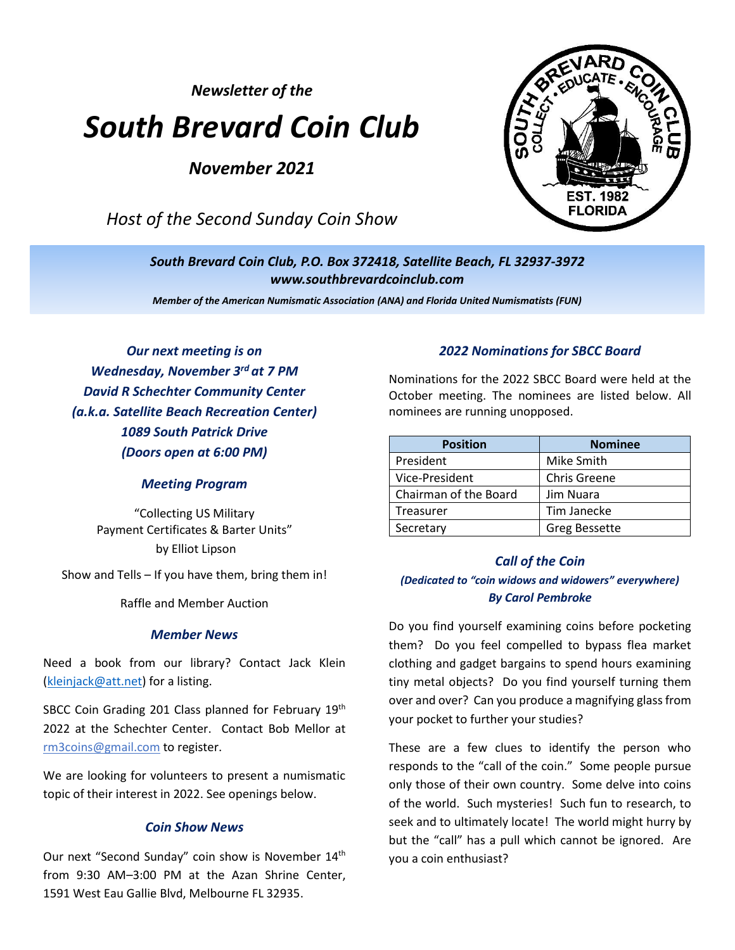*Newsletter of the*

# *South Brevard Coin Club*

*November 2021*

*Host of the Second Sunday Coin Show*

*South Brevard Coin Club, P.O. Box 372418, Satellite Beach, FL 32937-3972 [www.southbrevardcoinclub.com](http://www.southbrevardcoinclub.com/)*

*Member of the American Numismatic Association (ANA) and Florida United Numismatists (FUN)*

*Our next meeting is on Wednesday, November 3 rd at 7 PM David R Schechter Community Center (a.k.a. Satellite Beach Recreation Center) 1089 South Patrick Drive (Doors open at 6:00 PM)*

#### *Meeting Program*

"Collecting US Military Payment Certificates & Barter Units" by Elliot Lipson

Show and Tells – If you have them, bring them in!

Raffle and Member Auction

#### *Member News*

Need a book from our library? Contact Jack Klein [\(kleinjack@att.net\)](mailto:kleinjack@att.net) for a listing.

SBCC Coin Grading 201 Class planned for February 19<sup>th</sup> 2022 at the Schechter Center. Contact Bob Mellor at rm3coins@gmail.com to register.

We are looking for volunteers to present a numismatic topic of their interest in 2022. See openings below.

#### *Coin Show News*

Our next "Second Sunday" coin show is November 14<sup>th</sup> from 9:30 AM–3:00 PM at the Azan Shrine Center, 1591 West Eau Gallie Blvd, Melbourne FL 32935.

#### *2022 Nominations for SBCC Board*

Nominations for the 2022 SBCC Board were held at the October meeting. The nominees are listed below. All nominees are running unopposed.

| <b>Position</b>       | <b>Nominee</b>       |
|-----------------------|----------------------|
| President             | Mike Smith           |
| Vice-President        | <b>Chris Greene</b>  |
| Chairman of the Board | Jim Nuara            |
| Treasurer             | Tim Janecke          |
| Secretary             | <b>Greg Bessette</b> |

#### *Call of the Coin*

#### *(Dedicated to "coin widows and widowers" everywhere) By Carol Pembroke*

Do you find yourself examining coins before pocketing them? Do you feel compelled to bypass flea market clothing and gadget bargains to spend hours examining tiny metal objects? Do you find yourself turning them over and over? Can you produce a magnifying glass from your pocket to further your studies?

These are a few clues to identify the person who responds to the "call of the coin." Some people pursue only those of their own country. Some delve into coins of the world. Such mysteries! Such fun to research, to seek and to ultimately locate! The world might hurry by but the "call" has a pull which cannot be ignored. Are you a coin enthusiast?

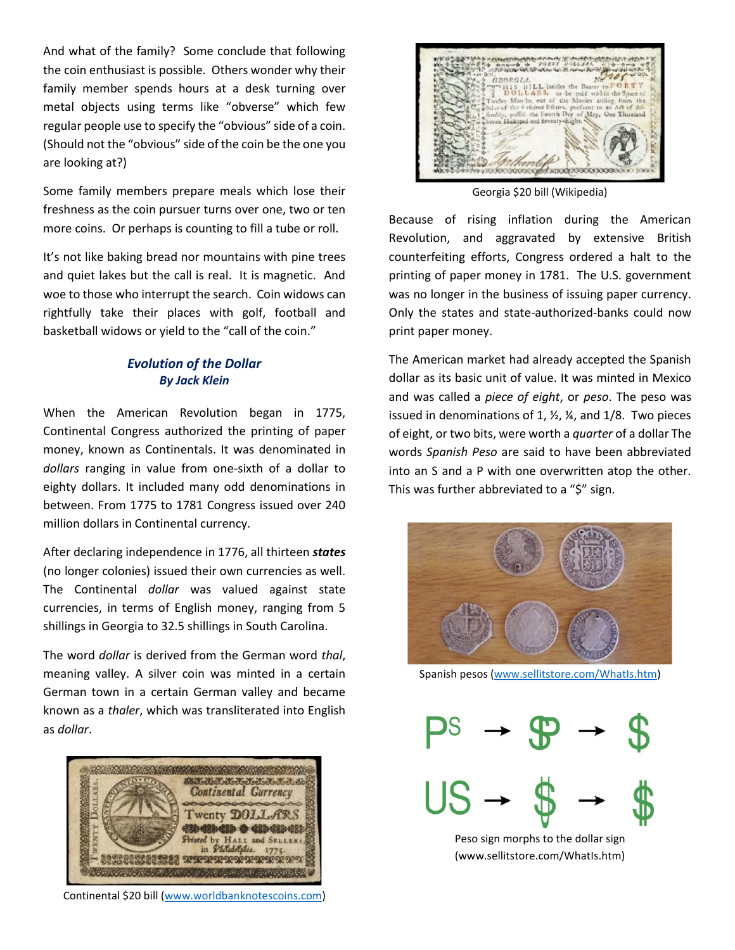And what of the family? Some conclude that following the coin enthusiast is possible. Others wonder why their family member spends hours at a desk turning over metal objects using terms like "obverse" which few regular people use to specify the "obvious" side of a coin. (Should not the "obvious" side of the coin be the one you are looking at?)

Some family members prepare meals which lose their freshness as the coin pursuer turns over one, two or ten more coins. Or perhaps is counting to fill a tube or roll.

It's not like baking bread nor mountains with pine trees and quiet lakes but the call is real. It is magnetic. And woe to those who interrupt the search. Coin widows can rightfully take their places with golf, football and basketball widows or yield to the "call of the coin."

## *Evolution of the Dollar By Jack Klein*

When the American Revolution began in 1775, Continental Congress authorized the printing of paper money, known as Continentals. It was denominated in *dollars* ranging in value from one-sixth of a dollar to eighty dollars. It included many odd denominations in between. From 1775 to 1781 Congress issued over 240 million dollars in Continental currency.

After declaring independence in 1776, all thirteen *states* (no longer colonies) issued their own currencies as well. The Continental *dollar* was valued against state currencies, in terms of English money, ranging from 5 shillings in Georgia to 32.5 shillings in South Carolina.

The word *dollar* is derived from the German word *thal*, meaning valley. A silver coin was minted in a certain German town in a certain German valley and became known as a *thaler*, which was transliterated into English as *dollar*.



Continental \$20 bill [\(www.worldbanknotescoins.com\)](http://www.worldbanknotescoins.com/)



Georgia \$20 bill (Wikipedia)

Because of rising inflation during the American Revolution, and aggravated by extensive British counterfeiting efforts, Congress ordered a halt to the printing of paper money in 1781. The U.S. government was no longer in the business of issuing paper currency. Only the states and state-authorized-banks could now print paper money.

The American market had already accepted the Spanish dollar as its basic unit of value. It was minted in Mexico and was called a *piece of eight*, or *peso*. The peso was issued in denominations of 1,  $\frac{1}{2}$ ,  $\frac{1}{4}$ , and 1/8. Two pieces of eight, or two bits, were worth a *quarter* of a dollar The words *Spanish Peso* are said to have been abbreviated into an S and a P with one overwritten atop the other. This was further abbreviated to a "\$" sign.



Spanish pesos [\(www.sellitstore.com/WhatIs.htm\)](http://www.sellitstore.com/WhatIs.htm)





Peso sign morphs to the dollar sign (www.sellitstore.com/WhatIs.htm)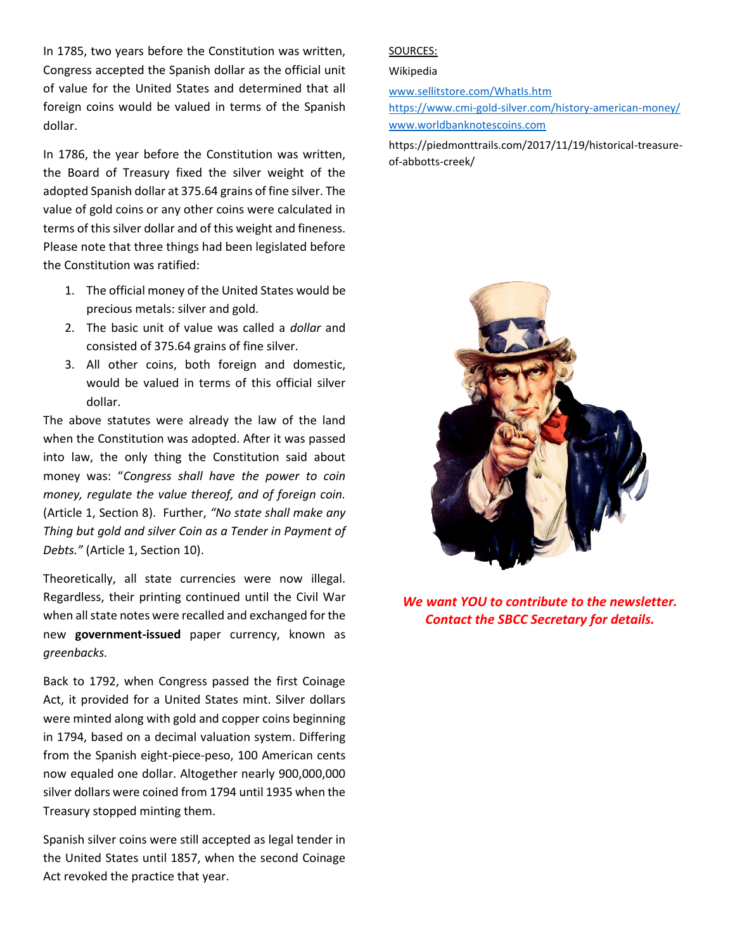In 1785, two years before the Constitution was written, Congress accepted the Spanish dollar as the official unit of value for the United States and determined that all foreign coins would be valued in terms of the Spanish dollar.

In 1786, the year before the Constitution was written, the Board of Treasury fixed the silver weight of the adopted Spanish dollar at 375.64 grains of fine silver. The value of gold coins or any other coins were calculated in terms of this silver dollar and of this weight and fineness. Please note that three things had been legislated before the Constitution was ratified:

- 1. The official money of the United States would be precious metals: silver and gold.
- 2. The basic unit of value was called a *dollar* and consisted of 375.64 grains of fine silver.
- 3. All other coins, both foreign and domestic, would be valued in terms of this official silver dollar.

The above statutes were already the law of the land when the Constitution was adopted. After it was passed into law, the only thing the Constitution said about money was: "*Congress shall have the power to coin money, regulate the value thereof, and of foreign coin.* (Article 1, Section 8). Further, *"No state shall make any Thing but gold and silver Coin as a Tender in Payment of Debts."* (Article 1, Section 10).

Theoretically, all state currencies were now illegal. Regardless, their printing continued until the Civil War when all state notes were recalled and exchanged for the new **government-issued** paper currency, known as *greenbacks.*

Back to 1792, when Congress passed the first Coinage Act, it provided for a United States mint. Silver dollars were minted along with gold and copper coins beginning in 1794, based on a decimal valuation system. Differing from the Spanish eight-piece-peso, 100 American cents now equaled one dollar. Altogether nearly 900,000,000 silver dollars were coined from 1794 until 1935 when the Treasury stopped minting them.

Spanish silver coins were still accepted as legal tender in the United States until 1857, when the second Coinage Act revoked the practice that year.

### SOURCES:

#### Wikipedia

[www.sellitstore.com/WhatIs.htm](http://www.sellitstore.com/WhatIs.htm)

<https://www.cmi-gold-silver.com/history-american-money/> [www.worldbanknotescoins.com](http://www.worldbanknotescoins.com/)

https://piedmonttrails.com/2017/11/19/historical-treasureof-abbotts-creek/



*We want YOU to contribute to the newsletter. Contact the SBCC Secretary for details.*